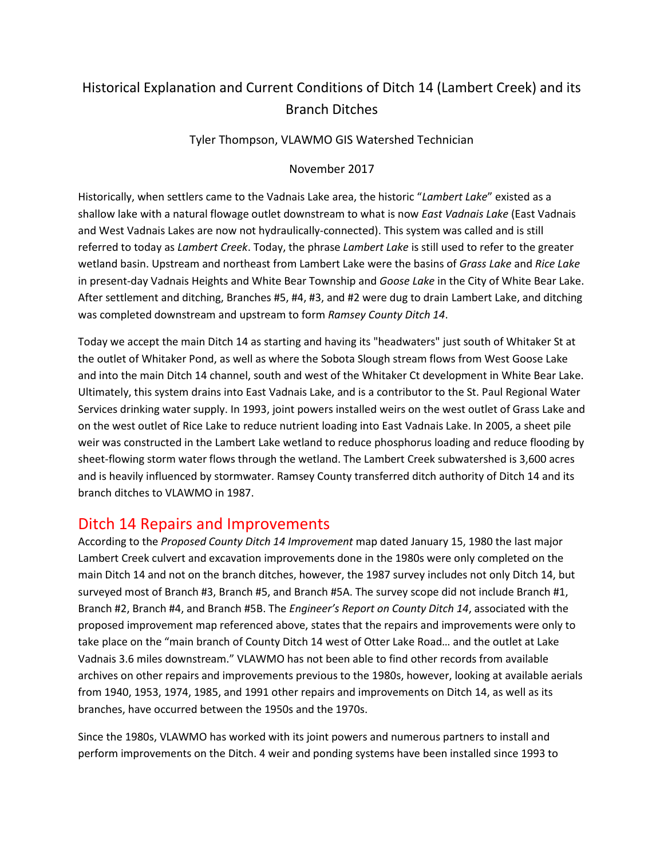## Historical Explanation and Current Conditions of Ditch 14 (Lambert Creek) and its Branch Ditches

Tyler Thompson, VLAWMO GIS Watershed Technician

#### November 2017

Historically, when settlers came to the Vadnais Lake area, the historic "*Lambert Lake*" existed as a shallow lake with a natural flowage outlet downstream to what is now *East Vadnais Lake* (East Vadnais and West Vadnais Lakes are now not hydraulically-connected). This system was called and is still referred to today as *Lambert Creek*. Today, the phrase *Lambert Lake* is still used to refer to the greater wetland basin. Upstream and northeast from Lambert Lake were the basins of *Grass Lake* and *Rice Lake* in present-day Vadnais Heights and White Bear Township and *Goose Lake* in the City of White Bear Lake. After settlement and ditching, Branches #5, #4, #3, and #2 were dug to drain Lambert Lake, and ditching was completed downstream and upstream to form *Ramsey County Ditch 14*.

Today we accept the main Ditch 14 as starting and having its "headwaters" just south of Whitaker St at the outlet of Whitaker Pond, as well as where the Sobota Slough stream flows from West Goose Lake and into the main Ditch 14 channel, south and west of the Whitaker Ct development in White Bear Lake. Ultimately, this system drains into East Vadnais Lake, and is a contributor to the St. Paul Regional Water Services drinking water supply. In 1993, joint powers installed weirs on the west outlet of Grass Lake and on the west outlet of Rice Lake to reduce nutrient loading into East Vadnais Lake. In 2005, a sheet pile weir was constructed in the Lambert Lake wetland to reduce phosphorus loading and reduce flooding by sheet-flowing storm water flows through the wetland. The Lambert Creek subwatershed is 3,600 acres and is heavily influenced by stormwater. Ramsey County transferred ditch authority of Ditch 14 and its branch ditches to VLAWMO in 1987.

### Ditch 14 Repairs and Improvements

According to the *Proposed County Ditch 14 Improvement* map dated January 15, 1980 the last major Lambert Creek culvert and excavation improvements done in the 1980s were only completed on the main Ditch 14 and not on the branch ditches, however, the 1987 survey includes not only Ditch 14, but surveyed most of Branch #3, Branch #5, and Branch #5A. The survey scope did not include Branch #1, Branch #2, Branch #4, and Branch #5B. The *Engineer's Report on County Ditch 14*, associated with the proposed improvement map referenced above, states that the repairs and improvements were only to take place on the "main branch of County Ditch 14 west of Otter Lake Road… and the outlet at Lake Vadnais 3.6 miles downstream." VLAWMO has not been able to find other records from available archives on other repairs and improvements previous to the 1980s, however, looking at available aerials from 1940, 1953, 1974, 1985, and 1991 other repairs and improvements on Ditch 14, as well as its branches, have occurred between the 1950s and the 1970s.

Since the 1980s, VLAWMO has worked with its joint powers and numerous partners to install and perform improvements on the Ditch. 4 weir and ponding systems have been installed since 1993 to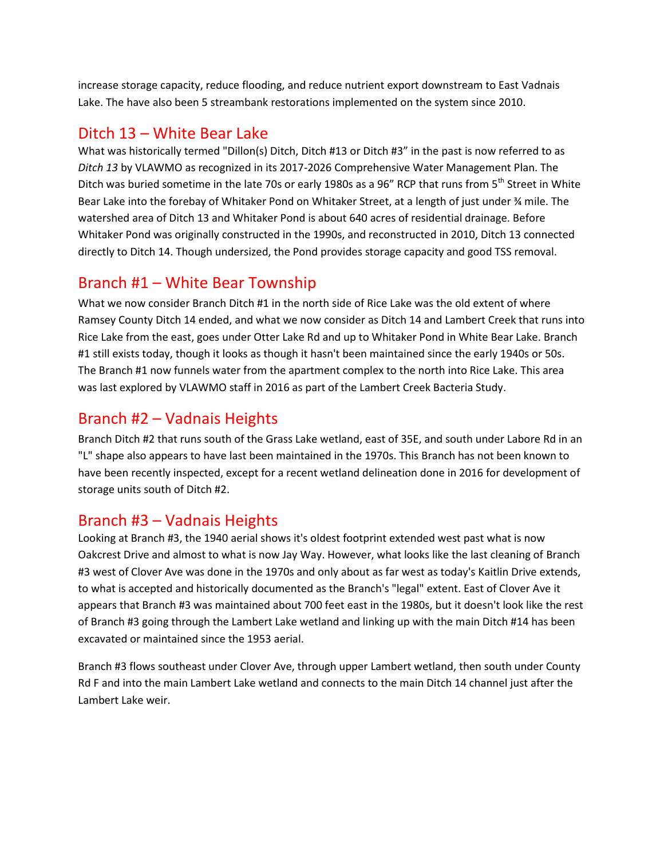increase storage capacity, reduce flooding, and reduce nutrient export downstream to East Vadnais Lake. The have also been 5 streambank restorations implemented on the system since 2010.

## Ditch 13 – White Bear Lake

What was historically termed "Dillon(s) Ditch, Ditch #13 or Ditch #3" in the past is now referred to as *Ditch 13* by VLAWMO as recognized in its 2017-2026 Comprehensive Water Management Plan. The Ditch was buried sometime in the late 70s or early 1980s as a 96" RCP that runs from 5<sup>th</sup> Street in White Bear Lake into the forebay of Whitaker Pond on Whitaker Street, at a length of just under ¾ mile. The watershed area of Ditch 13 and Whitaker Pond is about 640 acres of residential drainage. Before Whitaker Pond was originally constructed in the 1990s, and reconstructed in 2010, Ditch 13 connected directly to Ditch 14. Though undersized, the Pond provides storage capacity and good TSS removal.

## Branch #1 – White Bear Township

What we now consider Branch Ditch #1 in the north side of Rice Lake was the old extent of where Ramsey County Ditch 14 ended, and what we now consider as Ditch 14 and Lambert Creek that runs into Rice Lake from the east, goes under Otter Lake Rd and up to Whitaker Pond in White Bear Lake. Branch #1 still exists today, though it looks as though it hasn't been maintained since the early 1940s or 50s. The Branch #1 now funnels water from the apartment complex to the north into Rice Lake. This area was last explored by VLAWMO staff in 2016 as part of the Lambert Creek Bacteria Study.

# Branch #2 – Vadnais Heights

Branch Ditch #2 that runs south of the Grass Lake wetland, east of 35E, and south under Labore Rd in an "L" shape also appears to have last been maintained in the 1970s. This Branch has not been known to have been recently inspected, except for a recent wetland delineation done in 2016 for development of storage units south of Ditch #2.

### Branch #3 – Vadnais Heights

Looking at Branch #3, the 1940 aerial shows it's oldest footprint extended west past what is now Oakcrest Drive and almost to what is now Jay Way. However, what looks like the last cleaning of Branch #3 west of Clover Ave was done in the 1970s and only about as far west as today's Kaitlin Drive extends, to what is accepted and historically documented as the Branch's "legal" extent. East of Clover Ave it appears that Branch #3 was maintained about 700 feet east in the 1980s, but it doesn't look like the rest of Branch #3 going through the Lambert Lake wetland and linking up with the main Ditch #14 has been excavated or maintained since the 1953 aerial.

Branch #3 flows southeast under Clover Ave, through upper Lambert wetland, then south under County Rd F and into the main Lambert Lake wetland and connects to the main Ditch 14 channel just after the Lambert Lake weir.